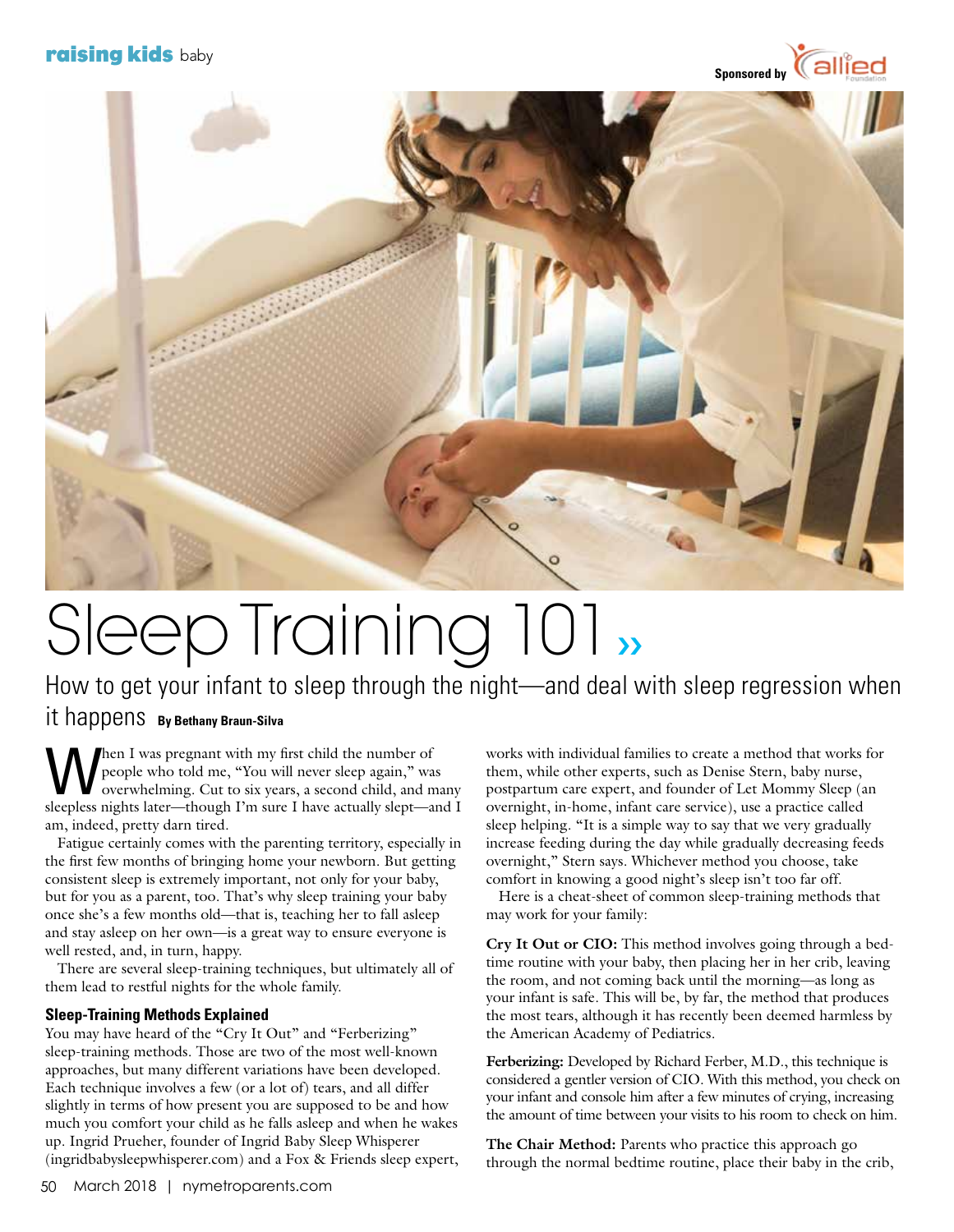



## Sleep Training 101››

How to get your infant to sleep through the night—and deal with sleep regression when it happens **By Bethany Braun-Silva**

When I was pregnant with my first child the number of<br>people who told me, "You will never sleep again," was<br>overwhelming. Cut to six years, a second child, and m people who told me, "You will never sleep again," was overwhelming. Cut to six years, a second child, and many sleepless nights later—though I'm sure I have actually slept—and I am, indeed, pretty darn tired.

 Fatigue certainly comes with the parenting territory, especially in the first few months of bringing home your newborn. But getting consistent sleep is extremely important, not only for your baby, but for you as a parent, too. That's why sleep training your baby once she's a few months old—that is, teaching her to fall asleep and stay asleep on her own—is a great way to ensure everyone is well rested, and, in turn, happy.

 There are several sleep-training techniques, but ultimately all of them lead to restful nights for the whole family.

## **Sleep-Training Methods Explained**

You may have heard of the "Cry It Out" and "Ferberizing" sleep-training methods. Those are two of the most well-known approaches, but many different variations have been developed. Each technique involves a few (or a lot of) tears, and all differ slightly in terms of how present you are supposed to be and how much you comfort your child as he falls asleep and when he wakes up. Ingrid Prueher, founder of Ingrid Baby Sleep Whisperer (ingridbabysleepwhisperer.com) and a Fox & Friends sleep expert,

works with individual families to create a method that works for them, while other experts, such as Denise Stern, baby nurse, postpartum care expert, and founder of Let Mommy Sleep (an overnight, in-home, infant care service), use a practice called sleep helping. "It is a simple way to say that we very gradually increase feeding during the day while gradually decreasing feeds overnight," Stern says. Whichever method you choose, take comfort in knowing a good night's sleep isn't too far off.

 Here is a cheat-sheet of common sleep-training methods that may work for your family:

**Cry It Out or CIO:** This method involves going through a bedtime routine with your baby, then placing her in her crib, leaving the room, and not coming back until the morning—as long as your infant is safe. This will be, by far, the method that produces the most tears, although it has recently been deemed harmless by the American Academy of Pediatrics.

**Ferberizing:** Developed by Richard Ferber, M.D., this technique is considered a gentler version of CIO. With this method, you check on your infant and console him after a few minutes of crying, increasing the amount of time between your visits to his room to check on him.

**The Chair Method:** Parents who practice this approach go through the normal bedtime routine, place their baby in the crib,